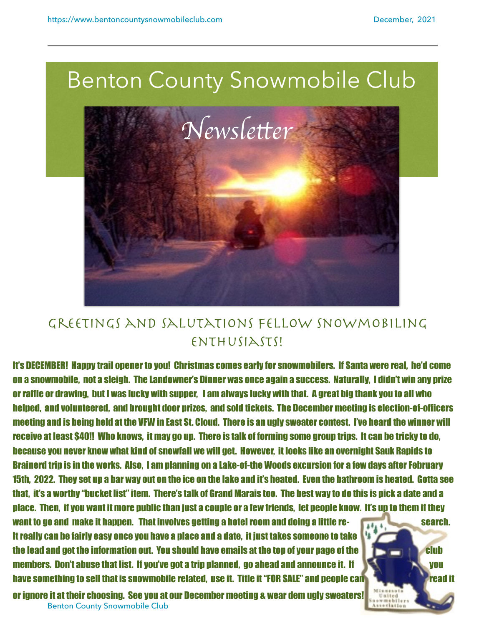

## Greetings and salutations fellow snowmobiling ENTHUSIASTS!

It's DECEMBER! Happy trail opener to you! Christmas comes early for snowmobilers. If Santa were real, he'd come on a snowmobile, not a sleigh. The Landowner's Dinner was once again a success. Naturally, I didn't win any prize or raffle or drawing, but I was lucky with supper, I am always lucky with that. A great big thank you to all who helped, and volunteered, and brought door prizes, and sold tickets. The December meeting is election-of-officers meeting and is being held at the VFW in East St. Cloud. There is an ugly sweater contest. I've heard the winner will receive at least \$40!! Who knows, it may go up. There is talk of forming some group trips. It can be tricky to do, because you never know what kind of snowfall we will get. However, it looks like an overnight Sauk Rapids to Brainerd trip is in the works. Also, I am planning on a Lake-of-the Woods excursion for a few days after February 15th, 2022. They set up a bar way out on the ice on the lake and it's heated. Even the bathroom is heated. Gotta see that, it's a worthy "bucket list" item. There's talk of Grand Marais too. The best way to do this is pick a date and a place. Then, if you want it more public than just a couple or a few friends, let people know. It's up to them if they

want to go and make it happen. That involves getting a hotel room and doing a little re-It really can be fairly easy once you have a place and a date, it just takes someone to take the lead and get the information out. You should have emails at the top of your page of the club club members. Don't abuse that list. If you've got a trip planned, go ahead and announce it. If **the state of the state of the state of the state of the state of the state of the state of the state of the state of the state of** have something to sell that is snowmobile related, use it. Title it "FOR SALE" and people can read and the read it

Benton County Snowmobile Club 1999 and 2009 and 2009 and 2009 and 2009 and 2009 and 2009 and 2009 and 2009 and 2009 and 2009 and 2009 and 2009 and 2009 and 2009 and 2009 and 2009 and 2009 and 2009 and 2009 and 2009 and 200 or ignore it at their choosing. See you at our December meeting & wear dem ugly sweaters!